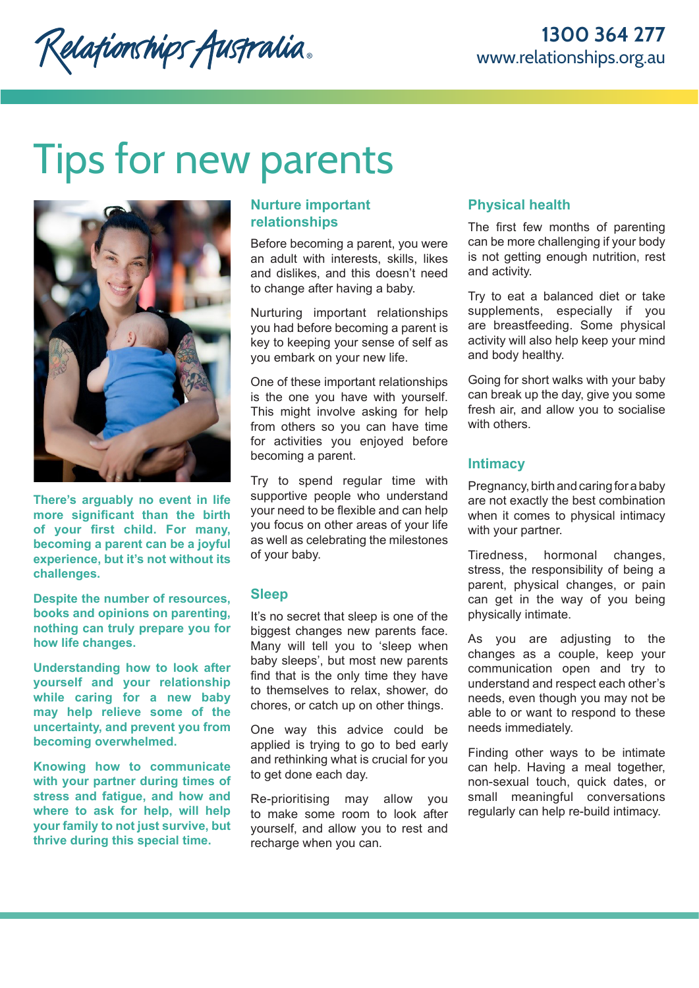Relationships Australia.

# Tips for new parents



**There's arguably no event in life more significant than the birth of your first child. For many, becoming a parent can be a joyful experience, but it's not without its challenges.** 

**Despite the number of resources, books and opinions on parenting, nothing can truly prepare you for how life changes.**

**Understanding how to look after yourself and your relationship while caring for a new baby may help relieve some of the uncertainty, and prevent you from becoming overwhelmed.**

**Knowing how to communicate with your partner during times of stress and fatigue, and how and where to ask for help, will help your family to not just survive, but thrive during this special time.**

# **Nurture important relationships**

Before becoming a parent, you were an adult with interests, skills, likes and dislikes, and this doesn't need to change after having a baby.

Nurturing important relationships you had before becoming a parent is key to keeping your sense of self as you embark on your new life.

One of these important relationships is the one you have with yourself. This might involve asking for help from others so you can have time for activities you enjoyed before becoming a parent.

Try to spend regular time with supportive people who understand your need to be flexible and can help you focus on other areas of your life as well as celebrating the milestones of your baby.

## **Sleep**

It's no secret that sleep is one of the biggest changes new parents face. Many will tell you to 'sleep when baby sleeps', but most new parents find that is the only time they have to themselves to relax, shower, do chores, or catch up on other things.

One way this advice could be applied is trying to go to bed early and rethinking what is crucial for you to get done each day.

Re-prioritising may allow you to make some room to look after yourself, and allow you to rest and recharge when you can.

# **Physical health**

The first few months of parenting can be more challenging if your body is not getting enough nutrition, rest and activity.

Try to eat a balanced diet or take supplements, especially if you are breastfeeding. Some physical activity will also help keep your mind and body healthy.

Going for short walks with your baby can break up the day, give you some fresh air, and allow you to socialise with others.

## **Intimacy**

Pregnancy, birth and caring for a baby are not exactly the best combination when it comes to physical intimacy with your partner.

Tiredness, hormonal changes, stress, the responsibility of being a parent, physical changes, or pain can get in the way of you being physically intimate.

As you are adjusting to the changes as a couple, keep your communication open and try to understand and respect each other's needs, even though you may not be able to or want to respond to these needs immediately.

Finding other ways to be intimate can help. Having a meal together, non-sexual touch, quick dates, or small meaningful conversations regularly can help re-build intimacy.